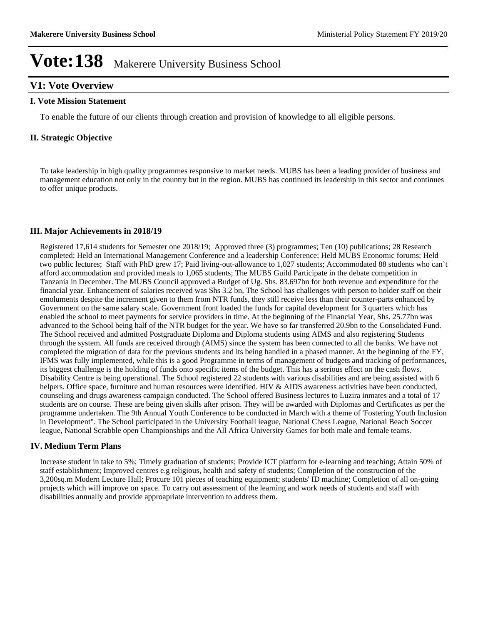### **V1: Vote Overview**

#### **I. Vote Mission Statement**

To enable the future of our clients through creation and provision of knowledge to all eligible persons.

#### **II. Strategic Objective**

To take leadership in high quality programmes responsive to market needs. MUBS has been a leading provider of business and management education not only in the country but in the region. MUBS has continued its leadership in this sector and continues to offer unique products.

#### **III. Major Achievements in 2018/19**

Registered 17,614 students for Semester one 2018/19; Approved three (3) programmes; Ten (10) publications; 28 Research completed; Held an International Management Conference and a leadership Conference; Held MUBS Economic forums; Held two public lectures; Staff with PhD grew 17; Paid living-out-allowance to 1,027 students; Accommodated 88 students who can't afford accommodation and provided meals to 1,065 students; The MUBS Guild Participate in the debate competition in Tanzania in December. The MUBS Council approved a Budget of Ug. Shs. 83.697bn for both revenue and expenditure for the financial year. Enhancement of salaries received was Shs 3.2 bn, The School has challenges with person to holder staff on their emoluments despite the increment given to them from NTR funds, they still receive less than their counter-parts enhanced by Government on the same salary scale. Government front loaded the funds for capital development for 3 quarters which has enabled the school to meet payments for service providers in time. At the beginning of the Financial Year, Shs. 25.77bn was advanced to the School being half of the NTR budget for the year. We have so far transferred 20.9bn to the Consolidated Fund. The School received and admitted Postgraduate Diploma and Diploma students using AIMS and also registering Students through the system. All funds are received through (AIMS) since the system has been connected to all the banks. We have not completed the migration of data for the previous students and its being handled in a phased manner. At the beginning of the FY, IFMS was fully implemented, while this is a good Programme in terms of management of budgets and tracking of performances, its biggest challenge is the holding of funds onto specific items of the budget. This has a serious effect on the cash flows. Disability Centre is being operational. The School registered 22 students with various disabilities and are being assisted with 6 helpers. Office space, furniture and human resources were identified. HIV & AIDS awareness activities have been conducted, counseling and drugs awareness campaign conducted. The School offered Business lectures to Luzira inmates and a total of 17 students are on course. These are being given skills after prison. They will be awarded with Diplomas and Certificates as per the programme undertaken. The 9th Annual Youth Conference to be conducted in March with a theme of 'Fostering Youth Inclusion in Development". The School participated in the University Football league, National Chess League, National Beach Soccer league, National Scrabble open Championships and the All Africa University Games for both male and female teams.

#### **IV. Medium Term Plans**

Increase student in take to 5%; Timely graduation of students; Provide ICT platform for e-learning and teaching; Attain 50% of staff establishment; Improved centres e.g religious, health and safety of students; Completion of the construction of the 3,200sq.m Modern Lecture Hall; Procure 101 pieces of teaching equipment; students' ID machine; Completion of all on-going projects which will improve on space. To carry out assessment of the learning and work needs of students and staff with disabilities annually and provide approapriate intervention to address them.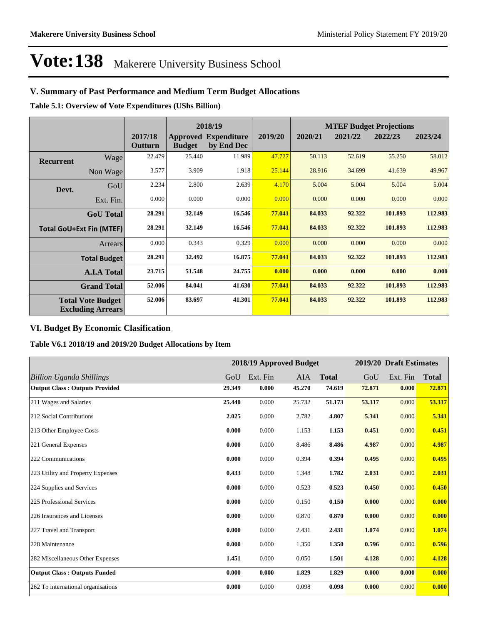## **V. Summary of Past Performance and Medium Term Budget Allocations**

**Table 5.1: Overview of Vote Expenditures (UShs Billion)**

|                                 |                                                      |                    | 2018/19       |                                           |         | <b>MTEF Budget Projections</b> |         |         |         |
|---------------------------------|------------------------------------------------------|--------------------|---------------|-------------------------------------------|---------|--------------------------------|---------|---------|---------|
|                                 |                                                      | 2017/18<br>Outturn | <b>Budget</b> | <b>Approved Expenditure</b><br>by End Dec | 2019/20 | 2020/21                        | 2021/22 | 2022/23 | 2023/24 |
| <b>Recurrent</b>                | Wage                                                 | 22.479             | 25.440        | 11.989                                    | 47.727  | 50.113                         | 52.619  | 55.250  | 58.012  |
|                                 | Non Wage                                             | 3.577              | 3.909         | 1.918                                     | 25.144  | 28.916                         | 34.699  | 41.639  | 49.967  |
| Devt.                           | GoU                                                  | 2.234              | 2.800         | 2.639                                     | 4.170   | 5.004                          | 5.004   | 5.004   | 5.004   |
|                                 | Ext. Fin.                                            | 0.000              | 0.000         | 0.000                                     | 0.000   | 0.000                          | 0.000   | 0.000   | 0.000   |
|                                 | <b>GoU</b> Total                                     | 28.291             | 32.149        | 16.546                                    | 77.041  | 84.033                         | 92.322  | 101.893 | 112.983 |
| <b>Total GoU+Ext Fin (MTEF)</b> |                                                      | 28.291             | 32.149        | 16.546                                    | 77.041  | 84.033                         | 92.322  | 101.893 | 112.983 |
|                                 | Arrears                                              | 0.000              | 0.343         | 0.329                                     | 0.000   | 0.000                          | 0.000   | 0.000   | 0.000   |
|                                 | <b>Total Budget</b>                                  | 28.291             | 32.492        | 16.875                                    | 77.041  | 84.033                         | 92.322  | 101.893 | 112.983 |
|                                 | <b>A.I.A Total</b>                                   | 23.715             | 51.548        | 24.755                                    | 0.000   | 0.000                          | 0.000   | 0.000   | 0.000   |
|                                 | <b>Grand Total</b>                                   | 52.006             | 84.041        | 41.630                                    | 77.041  | 84.033                         | 92.322  | 101.893 | 112.983 |
|                                 | <b>Total Vote Budget</b><br><b>Excluding Arrears</b> | 52.006             | 83.697        | 41.301                                    | 77.041  | 84.033                         | 92.322  | 101.893 | 112.983 |

### **VI. Budget By Economic Clasification**

**Table V6.1 2018/19 and 2019/20 Budget Allocations by Item**

|                                       |        |          | 2018/19 Approved Budget |              |        | 2019/20 Draft Estimates |              |
|---------------------------------------|--------|----------|-------------------------|--------------|--------|-------------------------|--------------|
| <b>Billion Uganda Shillings</b>       | GoU    | Ext. Fin | <b>AIA</b>              | <b>Total</b> | GoU    | Ext. Fin                | <b>Total</b> |
| <b>Output Class: Outputs Provided</b> | 29.349 | 0.000    | 45.270                  | 74.619       | 72.871 | 0.000                   | 72.871       |
| 211 Wages and Salaries                | 25.440 | 0.000    | 25.732                  | 51.173       | 53.317 | 0.000                   | 53.317       |
| 212 Social Contributions              | 2.025  | 0.000    | 2.782                   | 4.807        | 5.341  | 0.000                   | 5.341        |
| 213 Other Employee Costs              | 0.000  | 0.000    | 1.153                   | 1.153        | 0.451  | 0.000                   | 0.451        |
| 221 General Expenses                  | 0.000  | 0.000    | 8.486                   | 8.486        | 4.987  | 0.000                   | 4.987        |
| 222 Communications                    | 0.000  | 0.000    | 0.394                   | 0.394        | 0.495  | 0.000                   | 0.495        |
| 223 Utility and Property Expenses     | 0.433  | 0.000    | 1.348                   | 1.782        | 2.031  | 0.000                   | 2.031        |
| 224 Supplies and Services             | 0.000  | 0.000    | 0.523                   | 0.523        | 0.450  | 0.000                   | 0.450        |
| 225 Professional Services             | 0.000  | 0.000    | 0.150                   | 0.150        | 0.000  | 0.000                   | 0.000        |
| 226 Insurances and Licenses           | 0.000  | 0.000    | 0.870                   | 0.870        | 0.000  | 0.000                   | 0.000        |
| 227 Travel and Transport              | 0.000  | 0.000    | 2.431                   | 2.431        | 1.074  | 0.000                   | 1.074        |
| 228 Maintenance                       | 0.000  | 0.000    | 1.350                   | 1.350        | 0.596  | 0.000                   | 0.596        |
| 282 Miscellaneous Other Expenses      | 1.451  | 0.000    | 0.050                   | 1.501        | 4.128  | 0.000                   | 4.128        |
| <b>Output Class: Outputs Funded</b>   | 0.000  | 0.000    | 1.829                   | 1.829        | 0.000  | 0.000                   | 0.000        |
| 262 To international organisations    | 0.000  | 0.000    | 0.098                   | 0.098        | 0.000  | 0.000                   | 0.000        |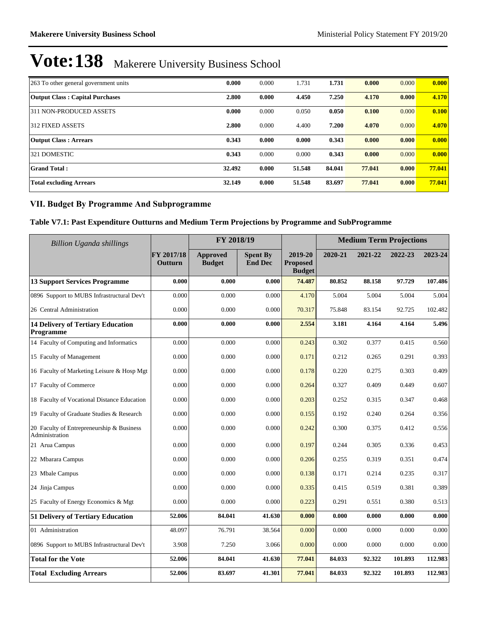| 263 To other general government units  | 0.000  | 0.000 | 1.731  | 1.731  | 0.000  | 0.000 | 0.000  |
|----------------------------------------|--------|-------|--------|--------|--------|-------|--------|
| <b>Output Class: Capital Purchases</b> | 2.800  | 0.000 | 4.450  | 7.250  | 4.170  | 0.000 | 4.170  |
| 311 NON-PRODUCED ASSETS                | 0.000  | 0.000 | 0.050  | 0.050  | 0.100  | 0.000 | 0.100  |
| 312 FIXED ASSETS                       | 2.800  | 0.000 | 4.400  | 7.200  | 4.070  | 0.000 | 4.070  |
| <b>Output Class: Arrears</b>           | 0.343  | 0.000 | 0.000  | 0.343  | 0.000  | 0.000 | 0.000  |
| 321 DOMESTIC                           | 0.343  | 0.000 | 0.000  | 0.343  | 0.000  | 0.000 | 0.000  |
| <b>Grand Total:</b>                    | 32.492 | 0.000 | 51.548 | 84.041 | 77.041 | 0.000 | 77.041 |
| <b>Total excluding Arrears</b>         | 32.149 | 0.000 | 51.548 | 83.697 | 77.041 | 0.000 | 77.041 |

### **VII. Budget By Programme And Subprogramme**

### **Table V7.1: Past Expenditure Outturns and Medium Term Projections by Programme and SubProgramme**

| <b>Billion Uganda shillings</b>                             |                       | FY 2018/19                       |                                   |                                             |         | <b>Medium Term Projections</b> |         |         |
|-------------------------------------------------------------|-----------------------|----------------------------------|-----------------------------------|---------------------------------------------|---------|--------------------------------|---------|---------|
|                                                             | FY 2017/18<br>Outturn | <b>Approved</b><br><b>Budget</b> | <b>Spent By</b><br><b>End Dec</b> | 2019-20<br><b>Proposed</b><br><b>Budget</b> | 2020-21 | 2021-22                        | 2022-23 | 2023-24 |
| <b>13 Support Services Programme</b>                        | 0.000                 | 0.000                            | 0.000                             | 74.487                                      | 80.852  | 88.158                         | 97.729  | 107.486 |
| 0896 Support to MUBS Infrastructural Dev't                  | 0.000                 | 0.000                            | 0.000                             | 4.170                                       | 5.004   | 5.004                          | 5.004   | 5.004   |
| 26 Central Administration                                   | 0.000                 | 0.000                            | 0.000                             | 70.317                                      | 75.848  | 83.154                         | 92.725  | 102.482 |
| <b>14 Delivery of Tertiary Education</b><br>Programme       | 0.000                 | 0.000                            | 0.000                             | 2.554                                       | 3.181   | 4.164                          | 4.164   | 5.496   |
| 14 Faculty of Computing and Informatics                     | 0.000                 | 0.000                            | 0.000                             | 0.243                                       | 0.302   | 0.377                          | 0.415   | 0.560   |
| 15 Faculty of Management                                    | 0.000                 | 0.000                            | 0.000                             | 0.171                                       | 0.212   | 0.265                          | 0.291   | 0.393   |
| 16 Faculty of Marketing Leisure & Hosp Mgt                  | 0.000                 | 0.000                            | 0.000                             | 0.178                                       | 0.220   | 0.275                          | 0.303   | 0.409   |
| 17 Faculty of Commerce                                      | 0.000                 | 0.000                            | 0.000                             | 0.264                                       | 0.327   | 0.409                          | 0.449   | 0.607   |
| 18 Faculty of Vocational Distance Education                 | 0.000                 | 0.000                            | 0.000                             | 0.203                                       | 0.252   | 0.315                          | 0.347   | 0.468   |
| 19 Faculty of Graduate Studies & Research                   | 0.000                 | 0.000                            | 0.000                             | 0.155                                       | 0.192   | 0.240                          | 0.264   | 0.356   |
| 20 Faculty of Entrepreneurship & Business<br>Administration | 0.000                 | 0.000                            | 0.000                             | 0.242                                       | 0.300   | 0.375                          | 0.412   | 0.556   |
| 21 Arua Campus                                              | 0.000                 | 0.000                            | 0.000                             | 0.197                                       | 0.244   | 0.305                          | 0.336   | 0.453   |
| 22 Mbarara Campus                                           | 0.000                 | 0.000                            | 0.000                             | 0.206                                       | 0.255   | 0.319                          | 0.351   | 0.474   |
| 23 Mbale Campus                                             | 0.000                 | 0.000                            | 0.000                             | 0.138                                       | 0.171   | 0.214                          | 0.235   | 0.317   |
| 24 Jinja Campus                                             | 0.000                 | 0.000                            | 0.000                             | 0.335                                       | 0.415   | 0.519                          | 0.381   | 0.389   |
| 25 Faculty of Energy Economics & Mgt                        | 0.000                 | 0.000                            | 0.000                             | 0.223                                       | 0.291   | 0.551                          | 0.380   | 0.513   |
| 51 Delivery of Tertiary Education                           | 52.006                | 84.041                           | 41.630                            | 0.000                                       | 0.000   | 0.000                          | 0.000   | 0.000   |
| 01 Administration                                           | 48.097                | 76.791                           | 38.564                            | 0.000                                       | 0.000   | 0.000                          | 0.000   | 0.000   |
| 0896 Support to MUBS Infrastructural Dev't                  | 3.908                 | 7.250                            | 3.066                             | 0.000                                       | 0.000   | 0.000                          | 0.000   | 0.000   |
| <b>Total for the Vote</b>                                   | 52.006                | 84.041                           | 41.630                            | 77.041                                      | 84.033  | 92.322                         | 101.893 | 112.983 |
| <b>Total Excluding Arrears</b>                              | 52.006                | 83.697                           | 41.301                            | 77.041                                      | 84.033  | 92.322                         | 101.893 | 112.983 |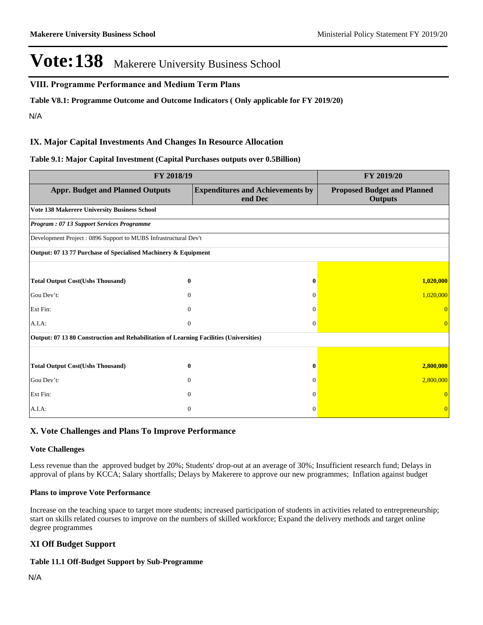#### **VIII. Programme Performance and Medium Term Plans**

**Table V8.1: Programme Outcome and Outcome Indicators ( Only applicable for FY 2019/20)**

N/A

#### **IX. Major Capital Investments And Changes In Resource Allocation**

#### **Table 9.1: Major Capital Investment (Capital Purchases outputs over 0.5Billion)**

| FY 2018/19                                                                             | FY 2019/20     |                                                    |                                                      |  |  |  |  |  |  |
|----------------------------------------------------------------------------------------|----------------|----------------------------------------------------|------------------------------------------------------|--|--|--|--|--|--|
| <b>Appr. Budget and Planned Outputs</b>                                                |                | <b>Expenditures and Achievements by</b><br>end Dec | <b>Proposed Budget and Planned</b><br><b>Outputs</b> |  |  |  |  |  |  |
| <b>Vote 138 Makerere University Business School</b>                                    |                |                                                    |                                                      |  |  |  |  |  |  |
| Program: 07 13 Support Services Programme                                              |                |                                                    |                                                      |  |  |  |  |  |  |
| Development Project: 0896 Support to MUBS Infrastructural Dev't                        |                |                                                    |                                                      |  |  |  |  |  |  |
| Output: 07 13 77 Purchase of Specialised Machinery & Equipment                         |                |                                                    |                                                      |  |  |  |  |  |  |
|                                                                                        |                |                                                    |                                                      |  |  |  |  |  |  |
| <b>Total Output Cost(Ushs Thousand)</b>                                                | 0              | 0                                                  | 1,020,000                                            |  |  |  |  |  |  |
| Gou Dev't:                                                                             | $\Omega$       | $\Omega$                                           | 1,020,000                                            |  |  |  |  |  |  |
| Ext Fin:                                                                               | $\Omega$       | $\Omega$                                           |                                                      |  |  |  |  |  |  |
| A.I.A.                                                                                 | $\Omega$       | $\Omega$                                           |                                                      |  |  |  |  |  |  |
| Output: 07 13 80 Construction and Rehabilitation of Learning Facilities (Universities) |                |                                                    |                                                      |  |  |  |  |  |  |
|                                                                                        |                |                                                    |                                                      |  |  |  |  |  |  |
| <b>Total Output Cost(Ushs Thousand)</b>                                                | 0              |                                                    | 2,800,000                                            |  |  |  |  |  |  |
| Gou Dev't:                                                                             | $\Omega$       | $\Omega$                                           | 2,800,000                                            |  |  |  |  |  |  |
| Ext Fin:                                                                               | $\Omega$       | $\Omega$                                           |                                                      |  |  |  |  |  |  |
| A.I.A.                                                                                 | $\overline{0}$ | $\Omega$                                           | $\Omega$                                             |  |  |  |  |  |  |

#### **X. Vote Challenges and Plans To Improve Performance**

#### **Vote Challenges**

Less revenue than the approved budget by 20%; Students' drop-out at an average of 30%; Insufficient research fund; Delays in approval of plans by KCCA; Salary shortfalls; Delays by Makerere to approve our new programmes; Inflation against budget

#### **Plans to improve Vote Performance**

Increase on the teaching space to target more students; increased participation of students in activities related to entrepreneurship; start on skills related courses to improve on the numbers of skilled workforce; Expand the delivery methods and target online degree programmes

#### **XI Off Budget Support**

#### **Table 11.1 Off-Budget Support by Sub-Programme**

N/A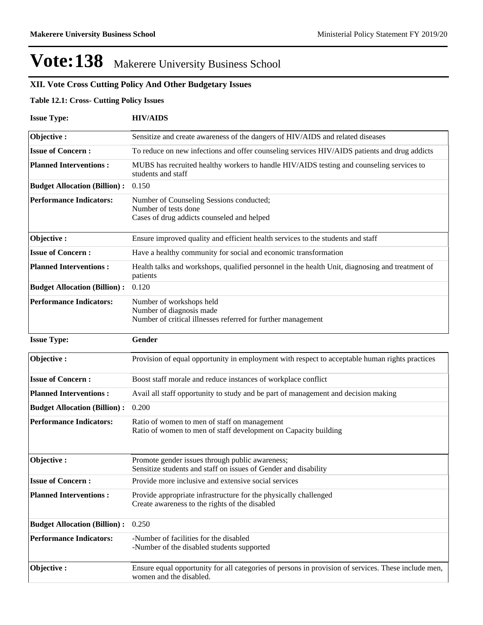## **XII. Vote Cross Cutting Policy And Other Budgetary Issues**

#### **Table 12.1: Cross- Cutting Policy Issues**

| <b>Issue Type:</b>                  | <b>HIV/AIDS</b>                                                                                                                |
|-------------------------------------|--------------------------------------------------------------------------------------------------------------------------------|
| Objective:                          | Sensitize and create awareness of the dangers of HIV/AIDS and related diseases                                                 |
| <b>Issue of Concern:</b>            | To reduce on new infections and offer counseling services HIV/AIDS patients and drug addicts                                   |
| <b>Planned Interventions:</b>       | MUBS has recruited healthy workers to handle HIV/AIDS testing and counseling services to<br>students and staff                 |
| <b>Budget Allocation (Billion):</b> | 0.150                                                                                                                          |
| <b>Performance Indicators:</b>      | Number of Counseling Sessions conducted;<br>Number of tests done<br>Cases of drug addicts counseled and helped                 |
| Objective:                          | Ensure improved quality and efficient health services to the students and staff                                                |
| <b>Issue of Concern:</b>            | Have a healthy community for social and economic transformation                                                                |
| <b>Planned Interventions:</b>       | Health talks and workshops, qualified personnel in the health Unit, diagnosing and treatment of<br>patients                    |
| <b>Budget Allocation (Billion):</b> | 0.120                                                                                                                          |
| <b>Performance Indicators:</b>      | Number of workshops held<br>Number of diagnosis made<br>Number of critical illnesses referred for further management           |
| <b>Issue Type:</b>                  | Gender                                                                                                                         |
| Objective:                          | Provision of equal opportunity in employment with respect to acceptable human rights practices                                 |
| <b>Issue of Concern:</b>            | Boost staff morale and reduce instances of workplace conflict                                                                  |
| <b>Planned Interventions:</b>       | Avail all staff opportunity to study and be part of management and decision making                                             |
| <b>Budget Allocation (Billion):</b> | 0.200                                                                                                                          |
| <b>Performance Indicators:</b>      | Ratio of women to men of staff on management<br>Ratio of women to men of staff development on Capacity building                |
| Objective:                          | Promote gender issues through public awareness;<br>Sensitize students and staff on issues of Gender and disability             |
| <b>Issue of Concern:</b>            | Provide more inclusive and extensive social services                                                                           |
| <b>Planned Interventions:</b>       | Provide appropriate infrastructure for the physically challenged<br>Create awareness to the rights of the disabled             |
| <b>Budget Allocation (Billion):</b> | 0.250                                                                                                                          |
| <b>Performance Indicators:</b>      | -Number of facilities for the disabled<br>-Number of the disabled students supported                                           |
| Objective:                          | Ensure equal opportunity for all categories of persons in provision of services. These include men,<br>women and the disabled. |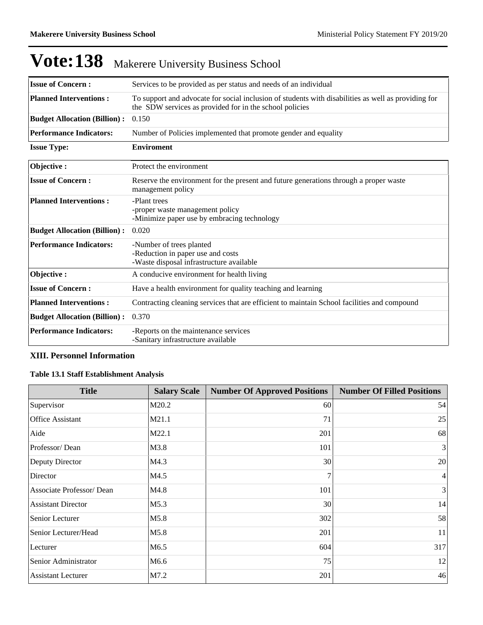| <b>Issue of Concern:</b>            | Services to be provided as per status and needs of an individual                                                                                               |
|-------------------------------------|----------------------------------------------------------------------------------------------------------------------------------------------------------------|
| <b>Planned Interventions:</b>       | To support and advocate for social inclusion of students with disabilities as well as providing for<br>the SDW services as provided for in the school policies |
| <b>Budget Allocation (Billion):</b> | 0.150                                                                                                                                                          |
| <b>Performance Indicators:</b>      | Number of Policies implemented that promote gender and equality                                                                                                |
| <b>Issue Type:</b>                  | <b>Enviroment</b>                                                                                                                                              |
| Objective:                          | Protect the environment                                                                                                                                        |
| <b>Issue of Concern:</b>            | Reserve the environment for the present and future generations through a proper waste<br>management policy                                                     |
| <b>Planned Interventions:</b>       | -Plant trees<br>-proper waste management policy<br>-Minimize paper use by embracing technology                                                                 |
| <b>Budget Allocation (Billion):</b> | 0.020                                                                                                                                                          |
| <b>Performance Indicators:</b>      | -Number of trees planted<br>-Reduction in paper use and costs<br>-Waste disposal infrastructure available                                                      |
| Objective:                          | A conducive environment for health living                                                                                                                      |
| <b>Issue of Concern:</b>            | Have a health environment for quality teaching and learning                                                                                                    |
| <b>Planned Interventions:</b>       | Contracting cleaning services that are efficient to maintain School facilities and compound                                                                    |
| <b>Budget Allocation (Billion):</b> | 0.370                                                                                                                                                          |
| <b>Performance Indicators:</b>      | -Reports on the maintenance services<br>-Sanitary infrastructure available                                                                                     |

### **XIII. Personnel Information**

### **Table 13.1 Staff Establishment Analysis**

| <b>Title</b>              | <b>Salary Scale</b> | <b>Number Of Approved Positions</b> | <b>Number Of Filled Positions</b> |
|---------------------------|---------------------|-------------------------------------|-----------------------------------|
| Supervisor                | M20.2               | 60                                  | 54                                |
| <b>Office Assistant</b>   | M21.1               | 71                                  | 25                                |
| Aide                      | M22.1               | 201                                 | 68                                |
| Professor/Dean            | M3.8                | 101                                 | 3                                 |
| Deputy Director           | M4.3                | 30                                  | 20                                |
| Director                  | M4.5                | $\overline{7}$                      | $\overline{4}$                    |
| Associate Professor/Dean  | M4.8                | 101                                 | 3                                 |
| <b>Assistant Director</b> | M5.3                | 30                                  | 14                                |
| Senior Lecturer           | M5.8                | 302                                 | 58                                |
| Senior Lecturer/Head      | M5.8                | 201                                 | 11                                |
| Lecturer                  | M6.5                | 604                                 | 317                               |
| Senior Administrator      | M <sub>6.6</sub>    | 75                                  | 12                                |
| <b>Assistant Lecturer</b> | M7.2                | 201                                 | 46                                |